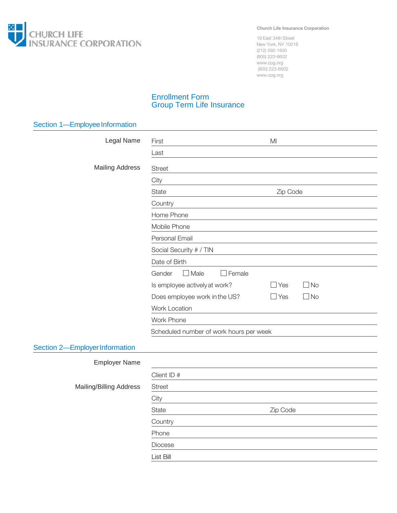

Church Life Insurance Corporation

19 East 34th Street New York, NY 10016 (212) 592-1800 (800) 223-6602 www.cpg.org (800) 223-6602 www.cpg.org

## Enrollment Form Group Term Life Insurance

| Section 1-Employee Information |                                                          |  |  |  |
|--------------------------------|----------------------------------------------------------|--|--|--|
| Legal Name                     | MI<br>First                                              |  |  |  |
|                                | Last                                                     |  |  |  |
| <b>Mailing Address</b>         | <b>Street</b>                                            |  |  |  |
|                                | City                                                     |  |  |  |
|                                | Zip Code<br>State                                        |  |  |  |
|                                | Country                                                  |  |  |  |
|                                | Home Phone                                               |  |  |  |
|                                | Mobile Phone                                             |  |  |  |
|                                | Personal Email                                           |  |  |  |
|                                | Social Security # / TIN<br>Date of Birth                 |  |  |  |
|                                |                                                          |  |  |  |
|                                | $\Box$ Male<br>Gender<br>$\Box$ Female                   |  |  |  |
|                                | $\Box$ No<br>Is employee actively at work?<br>$\Box$ Yes |  |  |  |
|                                | $\Box$ No<br>$\Box$ Yes<br>Does employee work in the US? |  |  |  |
|                                | Work Location<br>Work Phone                              |  |  |  |
|                                |                                                          |  |  |  |
|                                | Scheduled number of work hours per week                  |  |  |  |
| Section 2-Employer Information |                                                          |  |  |  |
| <b>Employer Name</b>           |                                                          |  |  |  |
|                                | Client ID #                                              |  |  |  |
| <b>Mailing/Billing Address</b> | <b>Street</b>                                            |  |  |  |
|                                | City                                                     |  |  |  |
|                                | State<br>Zip Code                                        |  |  |  |
|                                | Country                                                  |  |  |  |
|                                | Phone                                                    |  |  |  |
|                                | Diocese                                                  |  |  |  |
|                                | List Bill                                                |  |  |  |